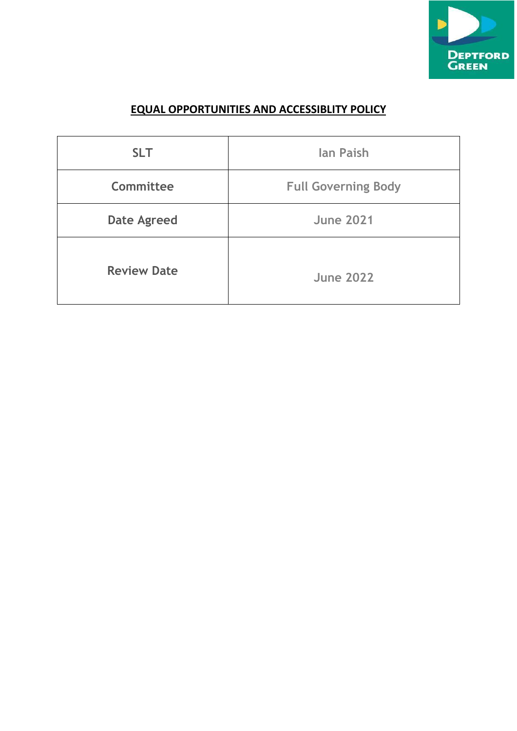

# **EQUAL OPPORTUNITIES AND ACCESSIBLITY POLICY**

| <b>SLT</b>         | <b>lan Paish</b>           |
|--------------------|----------------------------|
| Committee          | <b>Full Governing Body</b> |
| <b>Date Agreed</b> | <b>June 2021</b>           |
| <b>Review Date</b> | <b>June 2022</b>           |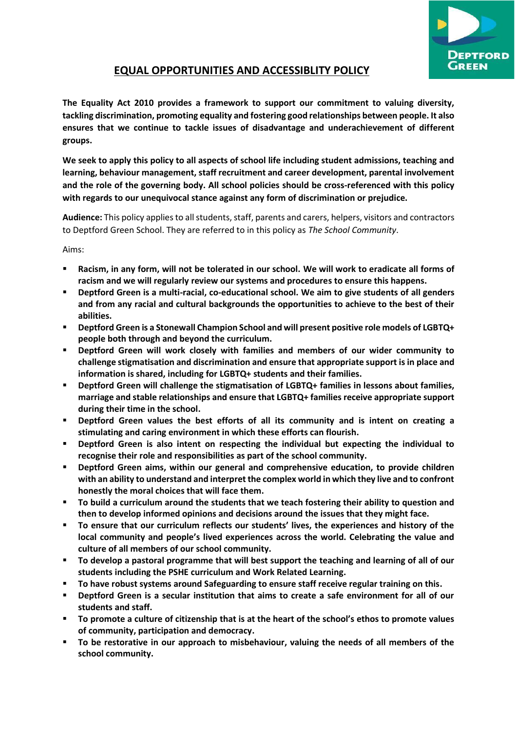

## **EQUAL OPPORTUNITIES AND ACCESSIBLITY POLICY**

**The Equality Act 2010 provides a framework to support our commitment to valuing diversity, tackling discrimination, promoting equality and fostering good relationships between people. It also ensures that we continue to tackle issues of disadvantage and underachievement of different groups.**

**We seek to apply this policy to all aspects of school life including student admissions, teaching and learning, behaviour management, staff recruitment and career development, parental involvement and the role of the governing body. All school policies should be cross-referenced with this policy with regards to our unequivocal stance against any form of discrimination or prejudice.** 

**Audience:** This policy applies to all students, staff, parents and carers, helpers, visitors and contractors to Deptford Green School. They are referred to in this policy as *The School Community*.

Aims:

- **Racism, in any form, will not be tolerated in our school. We will work to eradicate all forms of racism and we will regularly review our systems and procedures to ensure this happens.**
- **Deptford Green is a multi-racial, co-educational school. We aim to give students of all genders and from any racial and cultural backgrounds the opportunities to achieve to the best of their abilities.**
- **Deptford Green is a Stonewall Champion School and will present positive role models of LGBTQ+ people both through and beyond the curriculum.**
- **Deptford Green will work closely with families and members of our wider community to challenge stigmatisation and discrimination and ensure that appropriate support is in place and information is shared, including for LGBTQ+ students and their families.**
- **Deptford Green will challenge the stigmatisation of LGBTQ+ families in lessons about families, marriage and stable relationships and ensure that LGBTQ+ families receive appropriate support during their time in the school.**
- **Deptford Green values the best efforts of all its community and is intent on creating a stimulating and caring environment in which these efforts can flourish.**
- **Deptford Green is also intent on respecting the individual but expecting the individual to recognise their role and responsibilities as part of the school community.**
- Deptford Green aims, within our general and comprehensive education, to provide children **with an ability to understand and interpret the complex world in which they live and to confront honestly the moral choices that will face them.**
- **To build a curriculum around the students that we teach fostering their ability to question and then to develop informed opinions and decisions around the issues that they might face.**
- **To ensure that our curriculum reflects our students' lives, the experiences and history of the local community and people's lived experiences across the world. Celebrating the value and culture of all members of our school community.**
- **To develop a pastoral programme that will best support the teaching and learning of all of our students including the PSHE curriculum and Work Related Learning.**
- **To have robust systems around Safeguarding to ensure staff receive regular training on this.**
- **Deptford Green is a secular institution that aims to create a safe environment for all of our students and staff.**
- **To promote a culture of citizenship that is at the heart of the school's ethos to promote values of community, participation and democracy.**
- **To be restorative in our approach to misbehaviour, valuing the needs of all members of the school community.**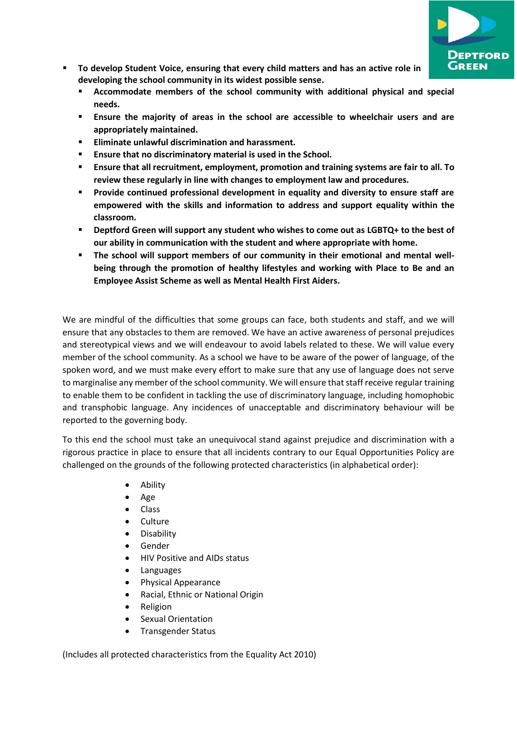

- **To develop Student Voice, ensuring that every child matters and has an active role in developing the school community in its widest possible sense.**
	- **Accommodate members of the school community with additional physical and special needs.**
	- **Ensure the majority of areas in the school are accessible to wheelchair users and are appropriately maintained.**
	- **Eliminate unlawful discrimination and harassment.**
	- **Ensure that no discriminatory material is used in the School.**
	- **Ensure that all recruitment, employment, promotion and training systems are fair to all. To review these regularly in line with changes to employment law and procedures.**
	- **Provide continued professional development in equality and diversity to ensure staff are empowered with the skills and information to address and support equality within the classroom.**
	- Deptford Green will support any student who wishes to come out as LGBTQ+ to the best of **our ability in communication with the student and where appropriate with home.**
	- **The school will support members of our community in their emotional and mental wellbeing through the promotion of healthy lifestyles and working with Place to Be and an Employee Assist Scheme as well as Mental Health First Aiders.**

We are mindful of the difficulties that some groups can face, both students and staff, and we will ensure that any obstacles to them are removed. We have an active awareness of personal prejudices and stereotypical views and we will endeavour to avoid labels related to these. We will value every member of the school community. As a school we have to be aware of the power of language, of the spoken word, and we must make every effort to make sure that any use of language does not serve to marginalise any member of the school community. We will ensure that staff receive regular training to enable them to be confident in tackling the use of discriminatory language, including homophobic and transphobic language. Any incidences of unacceptable and discriminatory behaviour will be reported to the governing body.

To this end the school must take an unequivocal stand against prejudice and discrimination with a rigorous practice in place to ensure that all incidents contrary to our Equal Opportunities Policy are challenged on the grounds of the following protected characteristics (in alphabetical order):

- Ability
- Age
- Class
- **Culture**
- Disability
- Gender
- HIV Positive and AIDs status
- Languages
- Physical Appearance
- Racial, Ethnic or National Origin
- Religion
- Sexual Orientation
- Transgender Status

(Includes all protected characteristics from the Equality Act 2010)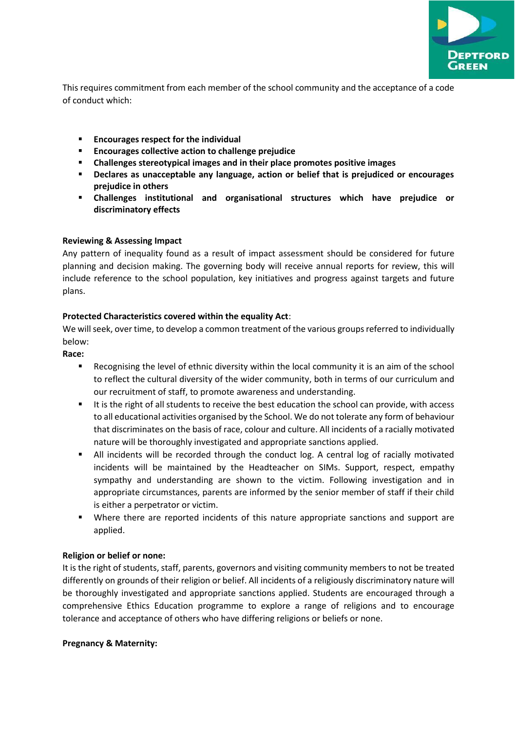

This requires commitment from each member of the school community and the acceptance of a code of conduct which:

- **Encourages respect for the individual**
- **Encourages collective action to challenge prejudice**
- **Challenges stereotypical images and in their place promotes positive images**
- **Declares as unacceptable any language, action or belief that is prejudiced or encourages prejudice in others**
- **Challenges institutional and organisational structures which have prejudice or discriminatory effects**

## **Reviewing & Assessing Impact**

Any pattern of inequality found as a result of impact assessment should be considered for future planning and decision making. The governing body will receive annual reports for review, this will include reference to the school population, key initiatives and progress against targets and future plans.

## **Protected Characteristics covered within the equality Act**:

We will seek, over time, to develop a common treatment of the various groups referred to individually below:

## **Race:**

- Recognising the level of ethnic diversity within the local community it is an aim of the school to reflect the cultural diversity of the wider community, both in terms of our curriculum and our recruitment of staff, to promote awareness and understanding.
- It is the right of all students to receive the best education the school can provide, with access to all educational activities organised by the School. We do not tolerate any form of behaviour that discriminates on the basis of race, colour and culture. All incidents of a racially motivated nature will be thoroughly investigated and appropriate sanctions applied.
- All incidents will be recorded through the conduct log. A central log of racially motivated incidents will be maintained by the Headteacher on SIMs. Support, respect, empathy sympathy and understanding are shown to the victim. Following investigation and in appropriate circumstances, parents are informed by the senior member of staff if their child is either a perpetrator or victim.
- Where there are reported incidents of this nature appropriate sanctions and support are applied.

## **Religion or belief or none:**

It is the right of students, staff, parents, governors and visiting community members to not be treated differently on grounds of their religion or belief. All incidents of a religiously discriminatory nature will be thoroughly investigated and appropriate sanctions applied. Students are encouraged through a comprehensive Ethics Education programme to explore a range of religions and to encourage tolerance and acceptance of others who have differing religions or beliefs or none.

#### **Pregnancy & Maternity:**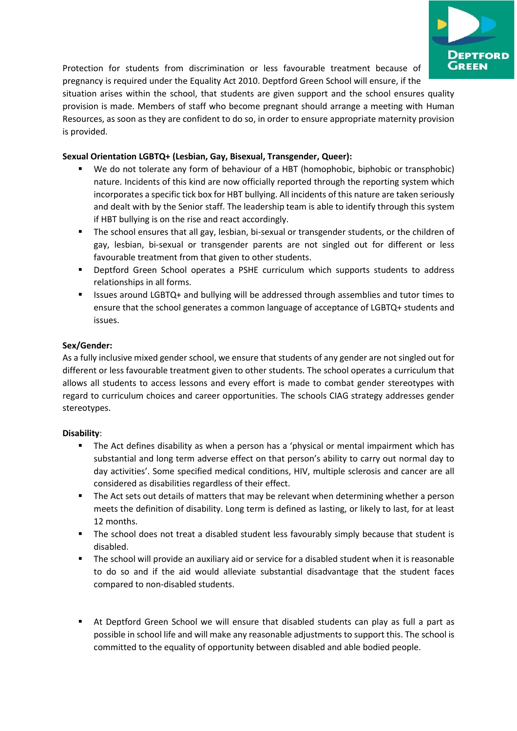

Protection for students from discrimination or less favourable treatment because of pregnancy is required under the Equality Act 2010. Deptford Green School will ensure, if the

situation arises within the school, that students are given support and the school ensures quality provision is made. Members of staff who become pregnant should arrange a meeting with Human Resources, as soon as they are confident to do so, in order to ensure appropriate maternity provision is provided.

## **Sexual Orientation LGBTQ+ (Lesbian, Gay, Bisexual, Transgender, Queer):**

- We do not tolerate any form of behaviour of a HBT (homophobic, biphobic or transphobic) nature. Incidents of this kind are now officially reported through the reporting system which incorporates a specific tick box for HBT bullying. All incidents of this nature are taken seriously and dealt with by the Senior staff. The leadership team is able to identify through this system if HBT bullying is on the rise and react accordingly.
- The school ensures that all gay, lesbian, bi-sexual or transgender students, or the children of gay, lesbian, bi-sexual or transgender parents are not singled out for different or less favourable treatment from that given to other students.
- Deptford Green School operates a PSHE curriculum which supports students to address relationships in all forms.
- Issues around LGBTQ+ and bullying will be addressed through assemblies and tutor times to ensure that the school generates a common language of acceptance of LGBTQ+ students and issues.

## **Sex/Gender:**

As a fully inclusive mixed gender school, we ensure that students of any gender are not singled out for different or less favourable treatment given to other students. The school operates a curriculum that allows all students to access lessons and every effort is made to combat gender stereotypes with regard to curriculum choices and career opportunities. The schools CIAG strategy addresses gender stereotypes.

## **Disability**:

- The Act defines disability as when a person has a 'physical or mental impairment which has substantial and long term adverse effect on that person's ability to carry out normal day to day activities'. Some specified medical conditions, HIV, multiple sclerosis and cancer are all considered as disabilities regardless of their effect.
- The Act sets out details of matters that may be relevant when determining whether a person meets the definition of disability. Long term is defined as lasting, or likely to last, for at least 12 months.
- **•** The school does not treat a disabled student less favourably simply because that student is disabled.
- The school will provide an auxiliary aid or service for a disabled student when it is reasonable to do so and if the aid would alleviate substantial disadvantage that the student faces compared to non-disabled students.
- At Deptford Green School we will ensure that disabled students can play as full a part as possible in school life and will make any reasonable adjustments to support this. The school is committed to the equality of opportunity between disabled and able bodied people.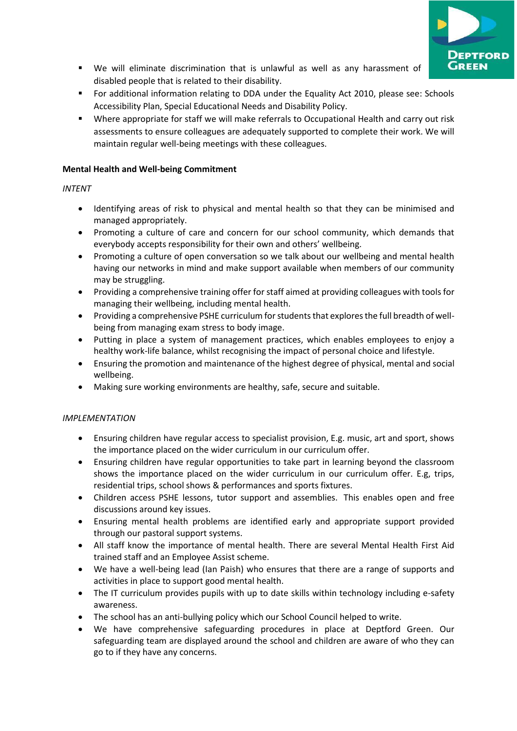

- We will eliminate discrimination that is unlawful as well as any harassment of disabled people that is related to their disability.
- For additional information relating to DDA under the Equality Act 2010, please see: Schools Accessibility Plan, Special Educational Needs and Disability Policy.
- Where appropriate for staff we will make referrals to Occupational Health and carry out risk assessments to ensure colleagues are adequately supported to complete their work. We will maintain regular well-being meetings with these colleagues.

## **Mental Health and Well-being Commitment**

## *INTENT*

- Identifying areas of risk to physical and mental health so that they can be minimised and managed appropriately.
- Promoting a culture of care and concern for our school community, which demands that everybody accepts responsibility for their own and others' wellbeing.
- Promoting a culture of open conversation so we talk about our wellbeing and mental health having our networks in mind and make support available when members of our community may be struggling.
- Providing a comprehensive training offer for staff aimed at providing colleagues with tools for managing their wellbeing, including mental health.
- Providing a comprehensive PSHE curriculum for students that explores the full breadth of wellbeing from managing exam stress to body image.
- Putting in place a system of management practices, which enables employees to enjoy a healthy work-life balance, whilst recognising the impact of personal choice and lifestyle.
- Ensuring the promotion and maintenance of the highest degree of physical, mental and social wellbeing.
- Making sure working environments are healthy, safe, secure and suitable.

## *IMPLEMENTATION*

- Ensuring children have regular access to specialist provision, E.g. music, art and sport, shows the importance placed on the wider curriculum in our curriculum offer.
- Ensuring children have regular opportunities to take part in learning beyond the classroom shows the importance placed on the wider curriculum in our curriculum offer. E.g, trips, residential trips, school shows & performances and sports fixtures.
- Children access PSHE lessons, tutor support and assemblies. This enables open and free discussions around key issues.
- Ensuring mental health problems are identified early and appropriate support provided through our pastoral support systems.
- All staff know the importance of mental health. There are several Mental Health First Aid trained staff and an Employee Assist scheme.
- We have a well-being lead (Ian Paish) who ensures that there are a range of supports and activities in place to support good mental health.
- The IT curriculum provides pupils with up to date skills within technology including e-safety awareness.
- The school has an anti-bullying policy which our School Council helped to write.
- We have comprehensive safeguarding procedures in place at Deptford Green. Our safeguarding team are displayed around the school and children are aware of who they can go to if they have any concerns.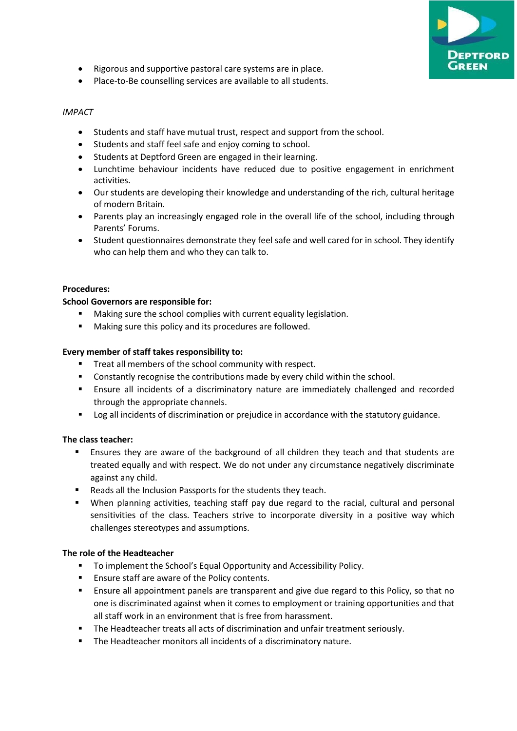![](_page_6_Picture_0.jpeg)

- Rigorous and supportive pastoral care systems are in place.
- Place-to-Be counselling services are available to all students.

#### *IMPACT*

- Students and staff have mutual trust, respect and support from the school.
- Students and staff feel safe and enjoy coming to school.
- Students at Deptford Green are engaged in their learning.
- Lunchtime behaviour incidents have reduced due to positive engagement in enrichment activities.
- Our students are developing their knowledge and understanding of the rich, cultural heritage of modern Britain.
- Parents play an increasingly engaged role in the overall life of the school, including through Parents' Forums.
- Student questionnaires demonstrate they feel safe and well cared for in school. They identify who can help them and who they can talk to.

#### **Procedures:**

#### **School Governors are responsible for:**

- Making sure the school complies with current equality legislation.
- Making sure this policy and its procedures are followed.

#### **Every member of staff takes responsibility to:**

- Treat all members of the school community with respect.
- Constantly recognise the contributions made by every child within the school.
- **Ensure all incidents of a discriminatory nature are immediately challenged and recorded** through the appropriate channels.
- Log all incidents of discrimination or prejudice in accordance with the statutory guidance.

#### **The class teacher:**

- Ensures they are aware of the background of all children they teach and that students are treated equally and with respect. We do not under any circumstance negatively discriminate against any child.
- Reads all the Inclusion Passports for the students they teach.
- When planning activities, teaching staff pay due regard to the racial, cultural and personal sensitivities of the class. Teachers strive to incorporate diversity in a positive way which challenges stereotypes and assumptions.

#### **The role of the Headteacher**

- To implement the School's Equal Opportunity and Accessibility Policy.
- Ensure staff are aware of the Policy contents.
- **E** Ensure all appointment panels are transparent and give due regard to this Policy, so that no one is discriminated against when it comes to employment or training opportunities and that all staff work in an environment that is free from harassment.
- The Headteacher treats all acts of discrimination and unfair treatment seriously.
- The Headteacher monitors all incidents of a discriminatory nature.